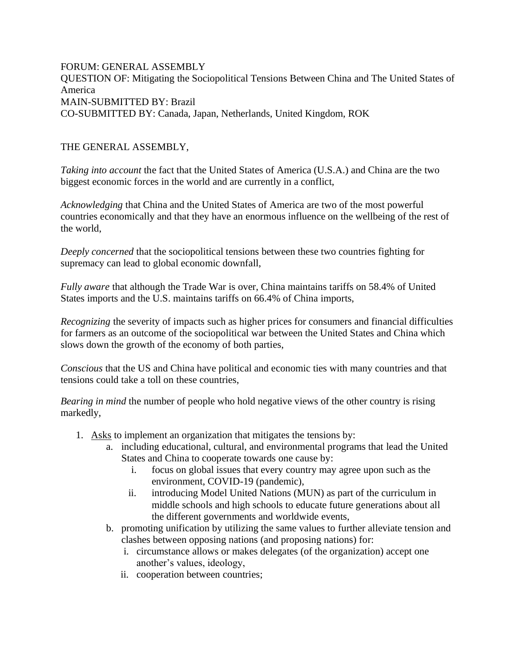FORUM: GENERAL ASSEMBLY QUESTION OF: Mitigating the Sociopolitical Tensions Between China and The United States of America MAIN-SUBMITTED BY: Brazil CO-SUBMITTED BY: Canada, Japan, Netherlands, United Kingdom, ROK

## THE GENERAL ASSEMBLY,

*Taking into account* the fact that the United States of America (U.S.A.) and China are the two biggest economic forces in the world and are currently in a conflict,

*Acknowledging* that China and the United States of America are two of the most powerful countries economically and that they have an enormous influence on the wellbeing of the rest of the world,

*Deeply concerned* that the sociopolitical tensions between these two countries fighting for supremacy can lead to global economic downfall,

*Fully aware* that although the Trade War is over, China maintains tariffs on 58.4% of United States imports and the U.S. maintains tariffs on 66.4% of China imports,

*Recognizing* the severity of impacts such as higher prices for consumers and financial difficulties for farmers as an outcome of the sociopolitical war between the United States and China which slows down the growth of the economy of both parties,

*Conscious* that the US and China have political and economic ties with many countries and that tensions could take a toll on these countries,

*Bearing in mind* the number of people who hold negative views of the other country is rising markedly,

- 1. Asks to implement an organization that mitigates the tensions by:
	- a. including educational, cultural, and environmental programs that lead the United States and China to cooperate towards one cause by:
		- i. focus on global issues that every country may agree upon such as the environment, COVID-19 (pandemic),
		- ii. introducing Model United Nations (MUN) as part of the curriculum in middle schools and high schools to educate future generations about all the different governments and worldwide events,
	- b. promoting unification by utilizing the same values to further alleviate tension and clashes between opposing nations (and proposing nations) for:
		- i. circumstance allows or makes delegates (of the organization) accept one another's values, ideology,
		- ii. cooperation between countries;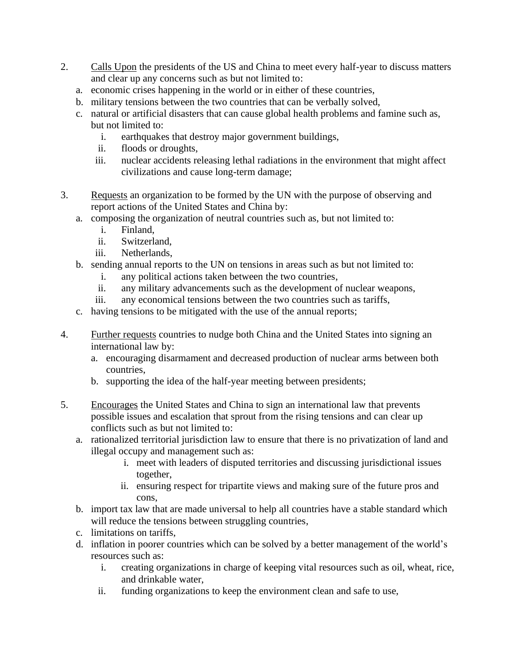- 2. Calls Upon the presidents of the US and China to meet every half-year to discuss matters and clear up any concerns such as but not limited to:
	- a. economic crises happening in the world or in either of these countries,
	- b. military tensions between the two countries that can be verbally solved,
	- c. natural or artificial disasters that can cause global health problems and famine such as, but not limited to:
		- i. earthquakes that destroy major government buildings,
		- ii. floods or droughts,
		- iii. nuclear accidents releasing lethal radiations in the environment that might affect civilizations and cause long-term damage;
- 3. Requests an organization to be formed by the UN with the purpose of observing and report actions of the United States and China by:
	- a. composing the organization of neutral countries such as, but not limited to:
		- i. Finland,
		- ii. Switzerland,
		- iii. Netherlands,
	- b. sending annual reports to the UN on tensions in areas such as but not limited to:
		- i. any political actions taken between the two countries,
		- ii. any military advancements such as the development of nuclear weapons,
		- iii. any economical tensions between the two countries such as tariffs,
	- c. having tensions to be mitigated with the use of the annual reports;
- 4. Further requests countries to nudge both China and the United States into signing an international law by:
	- a. encouraging disarmament and decreased production of nuclear arms between both countries,
	- b. supporting the idea of the half-year meeting between presidents;
- 5. Encourages the United States and China to sign an international law that prevents possible issues and escalation that sprout from the rising tensions and can clear up conflicts such as but not limited to:
	- a. rationalized territorial jurisdiction law to ensure that there is no privatization of land and illegal occupy and management such as:
		- i. meet with leaders of disputed territories and discussing jurisdictional issues together,
		- ii. ensuring respect for tripartite views and making sure of the future pros and cons,
	- b. import tax law that are made universal to help all countries have a stable standard which will reduce the tensions between struggling countries,
	- c. limitations on tariffs,
	- d. inflation in poorer countries which can be solved by a better management of the world's resources such as:
		- i. creating organizations in charge of keeping vital resources such as oil, wheat, rice, and drinkable water,
		- ii. funding organizations to keep the environment clean and safe to use,